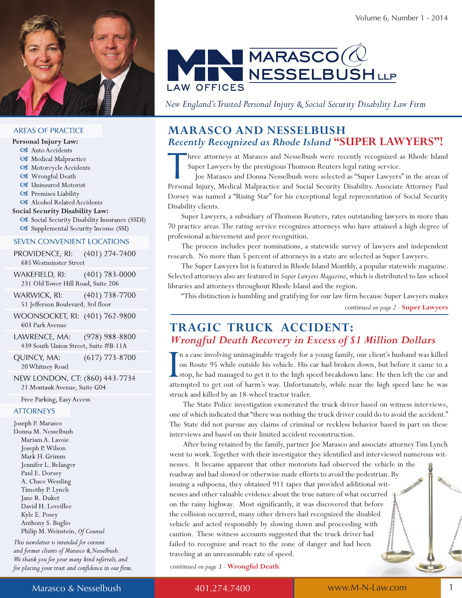

#### **AREAS OF PRACTICE**

- Personal Injury Law:
	- C3 Auto Accidents
	- C3 Medical Malpractice
	- C3 Motorcycle Accidents
	- C3 Wrongful Death
	- C3 Uninsured Motorist
	- C8 Premises Liability
- C3 Alcohol Related Accidents

#### **Social Security Disability Law:**

C3 Social Security Disability Insurance (SSDI) C3 Supplemental Security Income (SSI)

#### **SEVEN CONVENIENT LOCATIONS**

PROVIDENCE, RI:  $(401)$  274-7400 685 Westminster Street

 $(401)$  783-0000 WAKEFIELD, RI: 231 Old Tower Hill Road, Suite 206

WARWICK, RI:  $(401)$  738-7700 51 Jefferson Boulevard, 3rd floor

WOONSOCKET, RI: (401) 762-9800 603 Park Avenue

LAWRENCE, MA:  $(978)$  988-8800 439 South Union Street, Suite #B-11A

 $(617)$  773-8700 QUINCY, MA: 20 Whitney Road

NEW LONDON, CT: (860) 443-7734 21 Montauk Avenue, Suite G04

Free Parking, Easy Access

#### **ATTORNEYS**

Joseph P. Marasco Donna M. Nesselbush Mariam A. Lavoie Joseph P. Wilson Mark H. Grimm Jennifer L. Belanger Paul E. Dorsey A. Chace Wessling Timothy P. Lynch Jane R. Duket David H. Leveillee Kyle E. Posey Anthony S. Buglio Philip M. Weinstein, Of Counsel

This newsletter is intended for current and former clients of Marasco & Nesselbush. We thank you for your many kind referrals, and for placing your trust and confidence in our firm.



*New England's Trusted Personal Injury & Social Security Disability Law Firm*

# **MaraScO and neSSeLBuSH** *Recently Recognized as Rhode Island* **"SuPer LaWYerS"!**

Internal Injury, Medical Malpractice and Social Security Disability. Associate Attorney Paul Joe Marasco and Donna Nesselbush were selected as "Super Lawyers" in the areas of Personal Injury, Medical Malpractice and Social hree attorneys at Marasco and Nesselbush were recently recognized as Rhode Island Super Lawyers by the prestigious Thomson Reuters legal rating service.

 Joe Marasco and Donna Nesselbush were selected as "Super Lawyers" in the areas of Dorsey was named a "Rising Star" for his exceptional legal representation of Social Security Disability clients.

 Super Lawyers, a subsidiary of Thomson Reuters, rates outstanding lawyers in more than 70 practice areas. The rating service recognizes attorneys who have attained a high degree of professional achievement and peer recognition.

 The process includes peer nominations, a statewide survey of lawyers and independent research. No more than 5 percent of attorneys in a state are selected as Super Lawyers.

 The Super Lawyers list is featured in Rhode Island Monthly, a popular statewide magazine. Selected attorneys also are featured in *Super Lawyers Magazine*, which is distributed to law school libraries and attorneys throughout Rhode Island and the region.

 "This distinction is humbling and gratifying for our law firm because Super Lawyers makes continu*ed on page 2 -* **Super Lawyers**

# **tragic truck accident:**  *Wrongful Death Recovery in Excess of \$1 Million Dollars*

In a case involving unimaginable tragedy for a young family, our client's husband was killed<br>on Route 95 while outside his vehicle. His car had broken down, but before it came to a<br>stop, he had managed to get it to the hig n a case involving unimaginable tragedy for a young family, our client's husband was killed on Route 95 while outside his vehicle. His car had broken down, but before it came to a stop, he had managed to get it to the high speed breakdown lane. He then left the car and struck and killed by an 18-wheel tractor trailer.

 The State Police investigation exonerated the truck driver based on witness interviews, one of which indicated that "there was nothing the truck driver could do to avoid the accident." The State did not pursue any claims of criminal or reckless behavior based in part on these interviews and based on their limited accident reconstruction.

 After being retained by the family, partner Joe Marasco and associate attorney Tim Lynch went to work. Together with their investigator they identified and interviewed numerous witnesses. It became apparent that other motorists had observed the vehicle in the roadway and had slowed or otherwise made efforts to avoid the pedestrian. By issuing a subpoena, they obtained 911 tapes that provided additional witnesses and other valuable evidence about the true nature of what occurred on the rainy highway. Most significantly, it was discovered that before the collision occurred, many other drivers had recognized the disabled vehicle and acted responsibly by slowing down and proceeding with caution. These witness accounts suggested that the truck driver had failed to recognize and react to the zone of danger and had been traveling at an unreasonable rate of speed.

continued on page 3 - Wrongful Death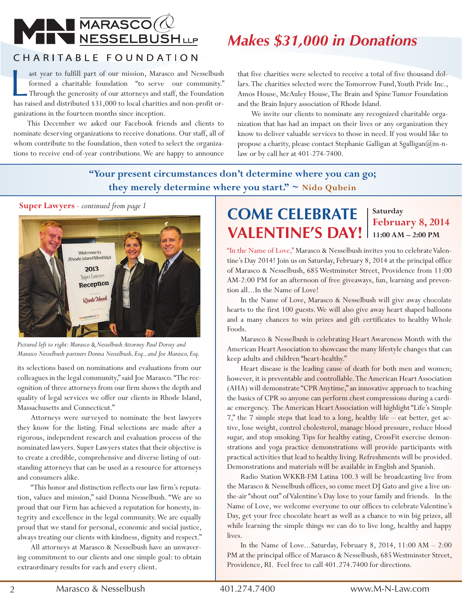# WAN MARASCO

# *Makes \$31,000 in Donations*

# CHARITABLE FOUNDATION

ast year to fulfill part of our mission, Marasco and Nesselbush formed a charitable foundation "to serve our community."<br>Through the generosity of our attorneys and staff, the Foundation has raised and distributed \$31,000 ast year to fulfill part of our mission, Marasco and Nesselbush formed a charitable foundation "to serve our community." Through the generosity of our attorneys and staff, the Foundation ganizations in the fourteen months since inception.

 This December we asked our Facebook friends and clients to nominate deserving organizations to receive donations. Our staff, all of whom contribute to the foundation, then voted to select the organizations to receive end-of-year contributions. We are happy to announce that five charities were selected to receive a total of five thousand dollars. The charities selected were the Tomorrow Fund, Youth Pride Inc., Amos House, McAuley House, The Brain and Spine Tumor Foundation and the Brain Injury association of Rhode Island.

 We invite our clients to nominate any recognized charitable organization that has had an impact on their lives or any organization they know to deliver valuable services to those in need. If you would like to propose a charity, please contact Stephanie Galligan at Sgalligan@m-nlaw or by call her at 401-274-7400.

# **"Your present circumstances don't determine where you can go; they merely determine where you start." ~ nido Qubein**

**Super Lawyers** *- continued from page 1*



*Pictured left to right: Marasco & Nesselbush Attorney Paul Dorsey and Marasco Nesselbush partners Donna Nesselbush, Esq., and Joe Marasco, Esq.*

its selections based on nominations and evaluations from our colleagues in the legal community," said Joe Marasco. "The recognition of three attorneys from our firm shows the depth and quality of legal services we offer our clients in Rhode Island, Massachusetts and Connecticut."

 Attorneys were surveyed to nominate the best lawyers they know for the listing. Final selections are made after a rigorous, independent research and evaluation process of the nominated lawyers. Super Lawyers states that their objective is to create a credible, comprehensive and diverse listing of outstanding attorneys that can be used as a resource for attorneys and consumers alike.

 "This honor and distinction reflects our law firm's reputation, values and mission," said Donna Nesselbush. "We are so proud that our Firm has achieved a reputation for honesty, integrity and excellence in the legal community. We are equally proud that we stand for personal, economic and social justice, always treating our clients with kindness, dignity and respect."

 All attorneys at Marasco & Nesselbush have an unwavering commitment to our clients and one simple goal: to obtain extraordinary results for each and every client.

# **Come Celebrate Valentine's Day!**

**Saturday February 8, 2014 11:00 aM – 2:00 PM**

"In the Name of Love," Marasco & Nesselbush invites you to celebrate Valentine's Day 2014! Join us on Saturday, February 8, 2014 at the principal office of Marasco & Nesselbush, 685 Westminster Street, Providence from 11:00 AM-2:00 PM for an afternoon of free giveaways, fun, learning and prevention all...In the Name of Love!

 In the Name of Love, Marasco & Nesselbush will give away chocolate hearts to the first 100 guests. We will also give away heart shaped balloons and a many chances to win prizes and gift certificates to healthy Whole Foods.

 Marasco & Nesselbush is celebrating Heart Awareness Month with the American Heart Association to showcase the many lifestyle changes that can keep adults and children "heart-healthy."

 Heart disease is the leading cause of death for both men and women; however, it is preventable and controllable. The American Heart Association (AHA) will demonstrate "CPR Anytime," an innovative approach to teaching the basics of CPR so anyone can perform chest compressions during a cardiac emergency. The American Heart Association will highlight "Life's Simple 7," the 7 simple steps that lead to a long, healthy life – eat better, get active, lose weight, control cholesterol, manage blood pressure, reduce blood sugar, and stop smoking. Tips for healthy eating, CrossFit exercise demonstrations and yoga practice demonstrations will provide participants with practical activities that lead to healthy living. Refreshments will be provided. Demonstrations and materials will be available in English and Spanish.

 Radio Station WKKB-FM Latina 100.3 will be broadcasting live from the Marasco & Nesselbush offices, so come meet DJ Gato and give a live onthe-air "shout out" of Valentine's Day love to your family and friends. In the Name of Love, we welcome everyone to our offices to celebrate Valentine's Day, get your free chocolate heart as well as a chance to win big prizes, all while learning the simple things we can do to live long, healthy and happy lives.

 In the Name of Love...Saturday, February 8, 2014, 11:00 AM – 2:00 PM at the principal office of Marasco & Nesselbush, 685 Westminster Street, Providence, RI. Feel free to call 401.274.7400 for directions.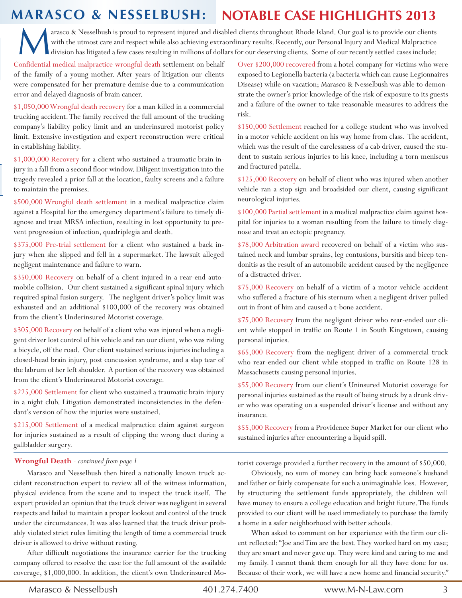# **marasCo & nesselbush: notable Case highlights 2013**

M<br>M arasco & Nesselbush is proud to represent injured and disabled clients throughout Rhode Island. Our goal is to provide our clients with the utmost care and respect while also achieving extraordinary results. Recently, our Personal Injury and Medical Malpractice division has litigated a few cases resulting in millions of dollars for our deserving clients. Some of our recently settled cases include:

Confidential medical malpractice wrongful death settlement on behalf of the family of a young mother. After years of litigation our clients were compensated for her premature demise due to a communication error and delayed diagnosis of brain cancer.

\$1,050,000 Wrongful death recovery for a man killed in a commercial trucking accident. The family received the full amount of the trucking company's liability policy limit and an underinsured motorist policy limit. Extensive investigation and expert reconstruction were critical in establishing liability.

\$1,000,000 Recovery for a client who sustained a traumatic brain injury in a fall from a second floor window. Diligent investigation into the tragedy revealed a prior fall at the location, faulty screens and a failure to maintain the premises.

\$500,000 Wrongful death settlement in a medical malpractice claim against a Hospital for the emergency department's failure to timely diagnose and treat MRSA infection, resulting in lost opportunity to prevent progression of infection, quadriplegia and death.

\$375,000 Pre-trial settlement for a client who sustained a back injury when she slipped and fell in a supermarket. The lawsuit alleged negligent maintenance and failure to warn.

\$350,000 Recovery on behalf of a client injured in a rear-end automobile collision. Our client sustained a significant spinal injury which required spinal fusion surgery. The negligent driver's policy limit was exhausted and an additional \$100,000 of the recovery was obtained from the client's Underinsured Motorist coverage.

\$305,000 Recovery on behalf of a client who was injured when a negligent driver lost control of his vehicle and ran our client, who was riding a bicycle, off the road. Our client sustained serious injuries including a closed-head brain injury, post concussion syndrome, and a slap tear of the labrum of her left shoulder. A portion of the recovery was obtained from the client's Underinsured Motorist coverage.

\$225,000 Settlement for client who sustained a traumatic brain injury in a night club. Litigation demonstrated inconsistencies in the defendant's version of how the injuries were sustained.

\$215,000 Settlement of a medical malpractice claim against surgeon for injuries sustained as a result of clipping the wrong duct during a gallbladder surgery.

Over \$200,000 recovered from a hotel company for victims who were exposed to Legionella bacteria (a bacteria which can cause Legionnaires Disease) while on vacation; Marasco & Nesselbush was able to demonstrate the owner's prior knowledge of the risk of exposure to its guests and a failure of the owner to take reasonable measures to address the risk.

\$150,000 Settlement reached for a college student who was involved in a motor vehicle accident on his way home from class. The accident, which was the result of the carelessness of a cab driver, caused the student to sustain serious injuries to his knee, including a torn meniscus and fractured patella.

\$125,000 Recovery on behalf of client who was injured when another vehicle ran a stop sign and broadsided our client, causing significant neurological injuries.

\$100,000 Partial settlement in a medical malpractice claim against hospital for injuries to a woman resulting from the failure to timely diagnose and treat an ectopic pregnancy.

\$78,000 Arbitration award recovered on behalf of a victim who sustained neck and lumbar sprains, leg contusions, bursitis and bicep tendonitis as the result of an automobile accident caused by the negligence of a distracted driver.

\$75,000 Recovery on behalf of a victim of a motor vehicle accident who suffered a fracture of his sternum when a negligent driver pulled out in front of him and caused a t-bone accident.

\$75,000 Recovery from the negligent driver who rear-ended our client while stopped in traffic on Route 1 in South Kingstown, causing personal injuries.

\$65,000 Recovery from the negligent driver of a commercial truck who rear-ended our client while stopped in traffic on Route 128 in Massachusetts causing personal injuries.

\$55,000 Recovery from our client's Uninsured Motorist coverage for personal injuries sustained as the result of being struck by a drunk driver who was operating on a suspended driver's license and without any insurance.

\$55,000 Recovery from a Providence Super Market for our client who sustained injuries after encountering a liquid spill.

### **Wrongful Death** - continued from page 1

 Marasco and Nesselbush then hired a nationally known truck accident reconstruction expert to review all of the witness information, physical evidence from the scene and to inspect the truck itself. The expert provided an opinion that the truck driver was negligent in several respects and failed to maintain a proper lookout and control of the truck under the circumstances. It was also learned that the truck driver probably violated strict rules limiting the length of time a commercial truck driver is allowed to drive without resting.

 After difficult negotiations the insurance carrier for the trucking company offered to resolve the case for the full amount of the available coverage, \$1,000,000. In addition, the client's own Underinsured Motorist coverage provided a further recovery in the amount of \$50,000.

 Obviously, no sum of money can bring back someone's husband and father or fairly compensate for such a unimaginable loss. However, by structuring the settlement funds appropriately, the children will have money to ensure a college education and bright future. The funds provided to our client will be used immediately to purchase the family a home in a safer neighborhood with better schools.

 When asked to comment on her experience with the firm our client reflected: "Joe and Tim are the best. They worked hard on my case; they are smart and never gave up. They were kind and caring to me and my family. I cannot thank them enough for all they have done for us. Because of their work, we will have a new home and financial security."